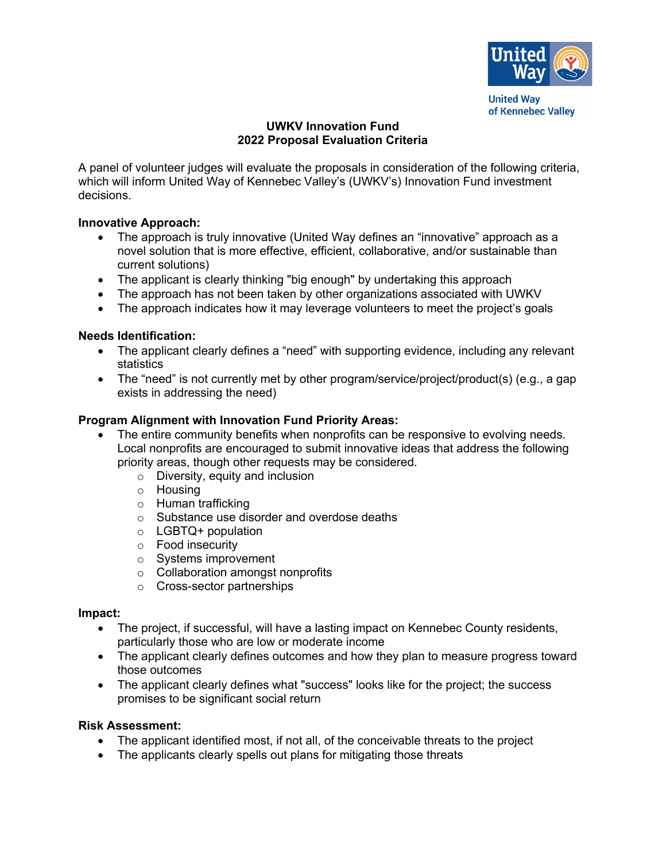

**United Way** of Kennebec Valley

# **UWKV Innovation Fund 2022 Proposal Evaluation Criteria**

A panel of volunteer judges will evaluate the proposals in consideration of the following criteria, which will inform United Way of Kennebec Valley's (UWKV's) Innovation Fund investment decisions.

## **Innovative Approach:**

- The approach is truly innovative (United Way defines an "innovative" approach as a novel solution that is more effective, efficient, collaborative, and/or sustainable than current solutions)
- The applicant is clearly thinking "big enough" by undertaking this approach
- The approach has not been taken by other organizations associated with UWKV
- The approach indicates how it may leverage volunteers to meet the project's goals

# **Needs Identification:**

- The applicant clearly defines a "need" with supporting evidence, including any relevant statistics
- The "need" is not currently met by other program/service/project/product(s) (e.g., a gap exists in addressing the need)

# **Program Alignment with Innovation Fund Priority Areas:**

- The entire community benefits when nonprofits can be responsive to evolving needs. Local nonprofits are encouraged to submit innovative ideas that address the following priority areas, though other requests may be considered.
	- o Diversity, equity and inclusion
	- o Housing
	- o Human trafficking
	- o Substance use disorder and overdose deaths
	- o LGBTQ+ population
	- o Food insecurity
	- o Systems improvement
	- o Collaboration amongst nonprofits
	- o Cross-sector partnerships

#### **Impact:**

- The project, if successful, will have a lasting impact on Kennebec County residents, particularly those who are low or moderate income
- The applicant clearly defines outcomes and how they plan to measure progress toward those outcomes
- The applicant clearly defines what "success" looks like for the project; the success promises to be significant social return

### **Risk Assessment:**

- The applicant identified most, if not all, of the conceivable threats to the project
- The applicants clearly spells out plans for mitigating those threats